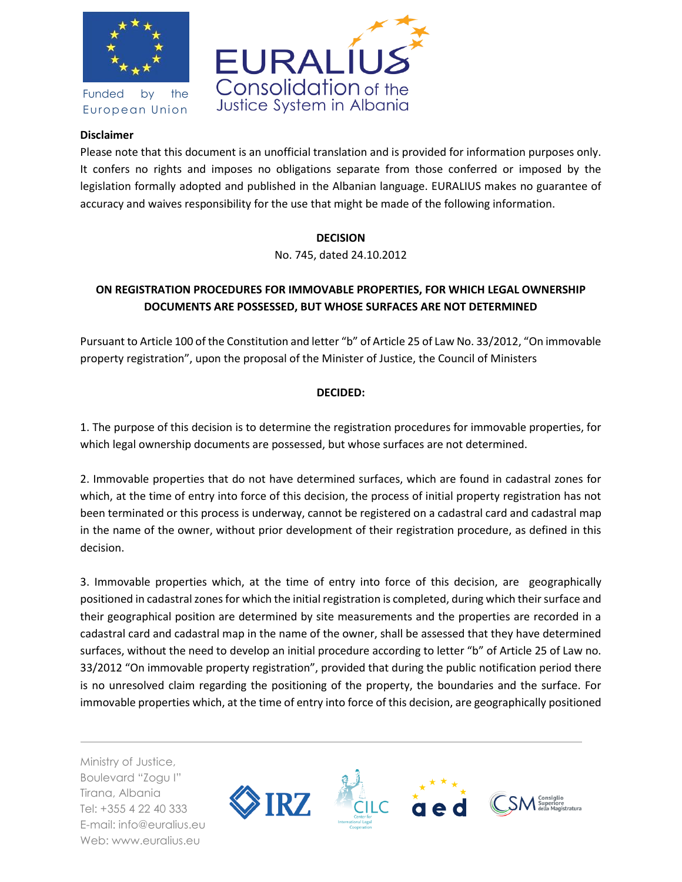

Funded by the European Union



## **Disclaimer**

Please note that this document is an unofficial translation and is provided for information purposes only. It confers no rights and imposes no obligations separate from those conferred or imposed by the legislation formally adopted and published in the Albanian language. EURALIUS makes no guarantee of accuracy and waives responsibility for the use that might be made of the following information.

## **DECISION**

No. 745, dated 24.10.2012

## **ON REGISTRATION PROCEDURES FOR IMMOVABLE PROPERTIES, FOR WHICH LEGAL OWNERSHIP DOCUMENTS ARE POSSESSED, BUT WHOSE SURFACES ARE NOT DETERMINED**

Pursuant to Article 100 of the Constitution and letter "b" of Article 25 of Law No. 33/2012, "On immovable property registration", upon the proposal of the Minister of Justice, the Council of Ministers

## **DECIDED:**

1. The purpose of this decision is to determine the registration procedures for immovable properties, for which legal ownership documents are possessed, but whose surfaces are not determined.

2. Immovable properties that do not have determined surfaces, which are found in cadastral zones for which, at the time of entry into force of this decision, the process of initial property registration has not been terminated or this process is underway, cannot be registered on a cadastral card and cadastral map in the name of the owner, without prior development of their registration procedure, as defined in this decision.

3. Immovable properties which, at the time of entry into force of this decision, are geographically positioned in cadastral zones for which the initial registration is completed, during which their surface and their geographical position are determined by site measurements and the properties are recorded in a cadastral card and cadastral map in the name of the owner, shall be assessed that they have determined surfaces, without the need to develop an initial procedure according to letter "b" of Article 25 of Law no. 33/2012 "On immovable property registration", provided that during the public notification period there is no unresolved claim regarding the positioning of the property, the boundaries and the surface. For immovable properties which, at the time of entry into force of this decision, are geographically positioned

Ministry of Justice, Boulevard "Zogu I" Tirana, Albania Tel: +355 4 22 40 333 E-mail: info@euralius.eu Web: www.euralius.eu

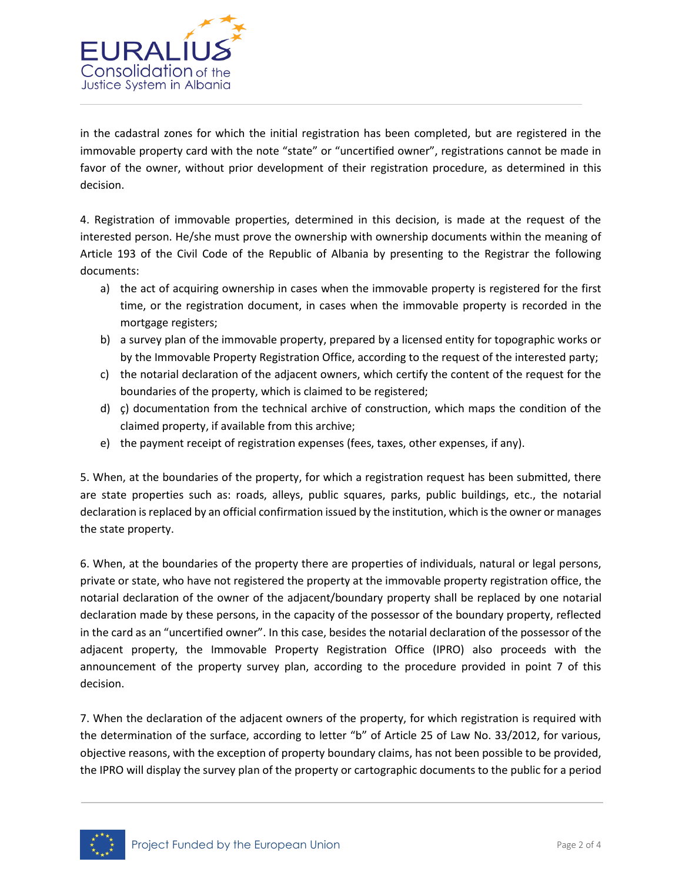

in the cadastral zones for which the initial registration has been completed, but are registered in the immovable property card with the note "state" or "uncertified owner", registrations cannot be made in favor of the owner, without prior development of their registration procedure, as determined in this decision.

4. Registration of immovable properties, determined in this decision, is made at the request of the interested person. He/she must prove the ownership with ownership documents within the meaning of Article 193 of the Civil Code of the Republic of Albania by presenting to the Registrar the following documents:

- a) the act of acquiring ownership in cases when the immovable property is registered for the first time, or the registration document, in cases when the immovable property is recorded in the mortgage registers;
- b) a survey plan of the immovable property, prepared by a licensed entity for topographic works or by the Immovable Property Registration Office, according to the request of the interested party;
- c) the notarial declaration of the adjacent owners, which certify the content of the request for the boundaries of the property, which is claimed to be registered;
- d) ç) documentation from the technical archive of construction, which maps the condition of the claimed property, if available from this archive;
- e) the payment receipt of registration expenses (fees, taxes, other expenses, if any).

5. When, at the boundaries of the property, for which a registration request has been submitted, there are state properties such as: roads, alleys, public squares, parks, public buildings, etc., the notarial declaration is replaced by an official confirmation issued by the institution, which is the owner or manages the state property.

6. When, at the boundaries of the property there are properties of individuals, natural or legal persons, private or state, who have not registered the property at the immovable property registration office, the notarial declaration of the owner of the adjacent/boundary property shall be replaced by one notarial declaration made by these persons, in the capacity of the possessor of the boundary property, reflected in the card as an "uncertified owner". In this case, besides the notarial declaration of the possessor of the adjacent property, the Immovable Property Registration Office (IPRO) also proceeds with the announcement of the property survey plan, according to the procedure provided in point 7 of this decision.

7. When the declaration of the adjacent owners of the property, for which registration is required with the determination of the surface, according to letter "b" of Article 25 of Law No. 33/2012, for various, objective reasons, with the exception of property boundary claims, has not been possible to be provided, the IPRO will display the survey plan of the property or cartographic documents to the public for a period

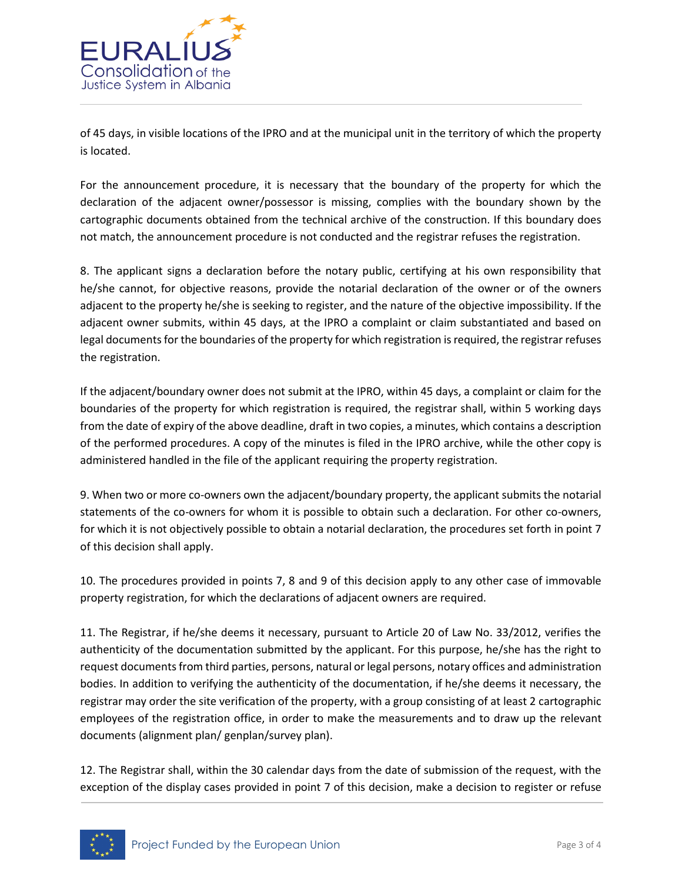

of 45 days, in visible locations of the IPRO and at the municipal unit in the territory of which the property is located.

For the announcement procedure, it is necessary that the boundary of the property for which the declaration of the adjacent owner/possessor is missing, complies with the boundary shown by the cartographic documents obtained from the technical archive of the construction. If this boundary does not match, the announcement procedure is not conducted and the registrar refuses the registration.

8. The applicant signs a declaration before the notary public, certifying at his own responsibility that he/she cannot, for objective reasons, provide the notarial declaration of the owner or of the owners adjacent to the property he/she is seeking to register, and the nature of the objective impossibility. If the adjacent owner submits, within 45 days, at the IPRO a complaint or claim substantiated and based on legal documents for the boundaries of the property for which registration is required, the registrar refuses the registration.

If the adjacent/boundary owner does not submit at the IPRO, within 45 days, a complaint or claim for the boundaries of the property for which registration is required, the registrar shall, within 5 working days from the date of expiry of the above deadline, draft in two copies, a minutes, which contains a description of the performed procedures. A copy of the minutes is filed in the IPRO archive, while the other copy is administered handled in the file of the applicant requiring the property registration.

9. When two or more co-owners own the adjacent/boundary property, the applicant submits the notarial statements of the co-owners for whom it is possible to obtain such a declaration. For other co-owners, for which it is not objectively possible to obtain a notarial declaration, the procedures set forth in point 7 of this decision shall apply.

10. The procedures provided in points 7, 8 and 9 of this decision apply to any other case of immovable property registration, for which the declarations of adjacent owners are required.

11. The Registrar, if he/she deems it necessary, pursuant to Article 20 of Law No. 33/2012, verifies the authenticity of the documentation submitted by the applicant. For this purpose, he/she has the right to request documents from third parties, persons, natural or legal persons, notary offices and administration bodies. In addition to verifying the authenticity of the documentation, if he/she deems it necessary, the registrar may order the site verification of the property, with a group consisting of at least 2 cartographic employees of the registration office, in order to make the measurements and to draw up the relevant documents (alignment plan/ genplan/survey plan).

12. The Registrar shall, within the 30 calendar days from the date of submission of the request, with the exception of the display cases provided in point 7 of this decision, make a decision to register or refuse